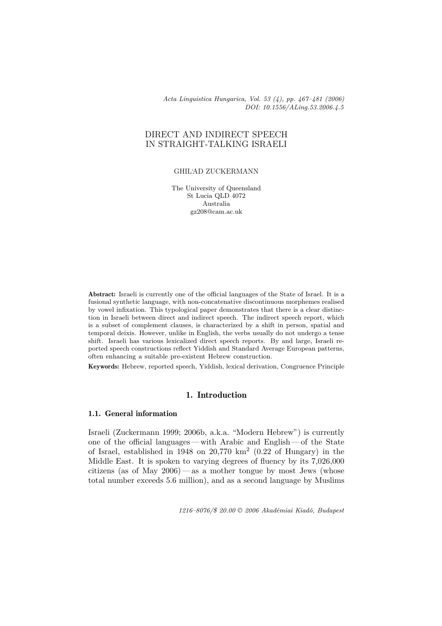*Acta Linguistica Hungarica, Vol. 53 (4), pp. 467–481 (2006) DOI: 10.1556/ALing.53.2006.4.5*

# DIRECT AND INDIRECT SPEECH IN STRAIGHT-TALKING ISRAELI

#### GHIL'AD ZUCKERMANN

The University of Queensland St Lucia QLD 4072 Australia gz208@cam.ac.uk

Abstract: Israeli is currently one of the official languages of the State of Israel. It is a fusional synthetic language, with non-concatenative discontinuous morphemes realised by vowel infixation. This typological paper demonstrates that there is a clear distinction in Israeli between direct and indirect speech. The indirect speech report, which is a subset of complement clauses, is characterized by a shift in person, spatial and temporal deixis. However, unlike in English, the verbs usually do not undergo a tense shift. Israeli has various lexicalized direct speech reports. By and large, Israeli reported speech constructions reflect Yiddish and Standard Average European patterns, often enhancing a suitable pre-existent Hebrew construction.

Keywords: Hebrew, reported speech, Yiddish, lexical derivation, Congruence Principle

# 1. Introduction

# 1.1. General information

Israeli (Zuckermann 1999; 2006b, a.k.a. "Modern Hebrew") is currently one of the official languages— with Arabic and English— of the State of Israel, established in 1948 on 20,770  $km^2$  (0.22 of Hungary) in the Middle East. It is spoken to varying degrees of fluency by its 7,026,000 citizens (as of May  $2006$ ) — as a mother tongue by most Jews (whose total number exceeds 5.6 million), and as a second language by Muslims

*1216–8076/\$ 20.00 © 2006 Akadémiai Kiadó, Budapest*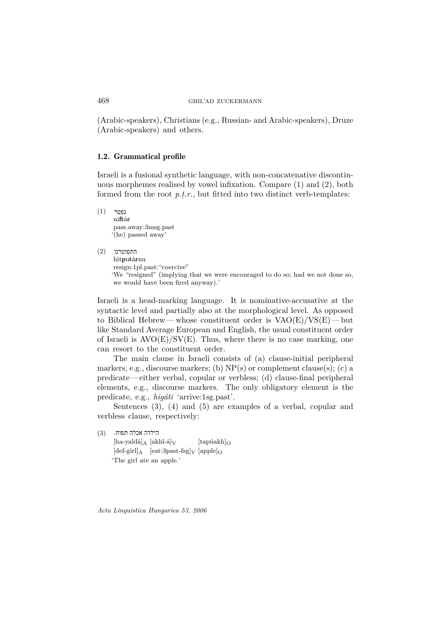(Arabic-speakers), Christians (e.g., Russian- and Arabic-speakers), Druze (Arabic-speakers) and others.

#### 1.2. Grammatical profile

Israeli is a fusional synthetic language, with non-concatenative discontinuous morphemes realised by vowel infixation. Compare (1) and (2), both formed from the root p.t.r., but fitted into two distinct verb-templates:

 $(1)$ נפטר niftár pass.away:3msg.past '(he) passed away'

 $(2)$ ומוטרנו התפוטרנו hitputárnu resign:1pl.past:"coercive" 'We "resigned" (implying that we were encouraged to do so; had we not done so, we would have been fired anyway).'

Israeli is a head-marking language. It is nominative-accusative at the syntactic level and partially also at the morphological level. As opposed to Biblical Hebrew—whose constituent order is  $VAO(E)/VS(E)$ —but like Standard Average European and English, the usual constituent order of Israeli is  $AVO(E)/SV(E)$ . Thus, where there is no case marking, one can resort to the constituent order.

The main clause in Israeli consists of (a) clause-initial peripheral markers, e.g., discourse markers; (b)  $NP(s)$  or complement clause(s); (c) a predicate—either verbal, copular or verbless; (d) clause-final peripheral elements, e.g., discourse markers. The only obligatory element is the predicate, e.g., *higáti* 'arrive:1sg.past'.

Sentences (3), (4) and (5) are examples of a verbal, copular and verbless clause, respectively:

הילדה אכלה תפוח. (3)(3)  $[\text{ha-yaldá}]_A [\text{akhl-á}]_V$   $[\text{tapúakh}]_O$  $[def\-gerl]_A$   $[eat:3past-fsg]_V$   $[apple]_O$ 'The girl ate an apple.'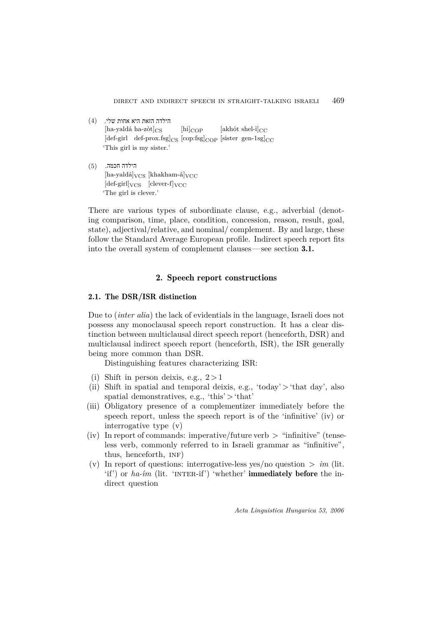- הילדה הזאת היא אחות שלי. (4)(4)  $[\text{ha-yaldá ha-zòt}]_{\text{CS}}$  [hi]<sub>COP</sub> [akhót shel-ì]<sub>CC</sub>  $[def\-girl]$  def-prox.fsg $|_{CS}$   $[cop:fsg]_{COP}$  [sister gen-1sg] $_{CC}$ 'This girl is my sister.'
- הילדה חכמה. (5)(5)  $[ha-yaldá]_{VCS}$   $[khakham-á]_{VCC}$  $[def\-girl]_{VCS}$   $[clear-f]_{VCC}$ 'The girl is clever.'

There are various types of subordinate clause, e.g., adverbial (denoting comparison, time, place, condition, concession, reason, result, goal, state), adjectival/relative, and nominal/ complement. By and large, these follow the Standard Average European profile. Indirect speech report fits into the overall system of complement clauses— see section 3.1.

# 2. Speech report constructions

## 2.1. The DSR/ISR distinction

Due to (*inter alia*) the lack of evidentials in the language, Israeli does not possess any monoclausal speech report construction. It has a clear distinction between multiclausal direct speech report (henceforth, DSR) and multiclausal indirect speech report (henceforth, ISR), the ISR generally being more common than DSR.

Distinguishing features characterizing ISR:

- (i) Shift in person deixis, e.g.,  $2 > 1$
- (ii) Shift in spatial and temporal deixis, e.g., 'today' > 'that day', also spatial demonstratives, e.g., 'this'  $>$  'that'
- (iii) Obligatory presence of a complementizer immediately before the speech report, unless the speech report is of the 'infinitive' (iv) or interrogative type (v)
- (iv) In report of commands: imperative/future verb  $>$  "infinitive" (tenseless verb, commonly referred to in Israeli grammar as "infinitive", thus, henceforth, inf)
- (v) In report of questions: interrogative-less yes/no question  $> im$  (lit. 'if') or  $ha$ -*im* (lit. 'INTER-if') 'whether' **immediately before** the indirect question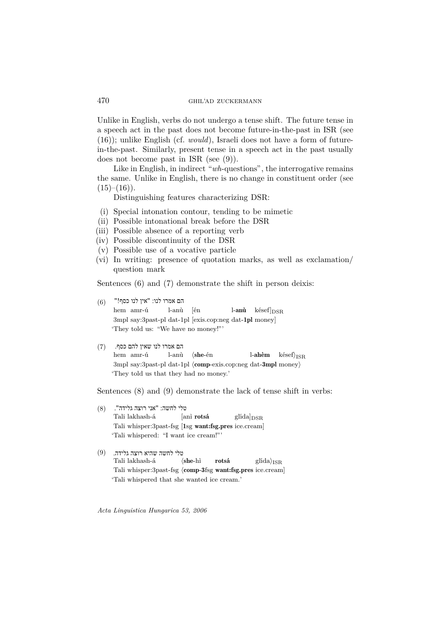Unlike in English, verbs do not undergo a tense shift. The future tense in a speech act in the past does not become future-in-the-past in ISR (see (16)); unlike English (cf. *would*), Israeli does not have a form of futurein-the-past. Similarly, present tense in a speech act in the past usually does not become past in ISR (see (9)).

Like in English, in indirect "*wh*-questions", the interrogative remains the same. Unlike in English, there is no change in constituent order (see  $(15)-(16)$ .

Distinguishing features characterizing DSR:

- (i) Special intonation contour, tending to be mimetic
- (ii) Possible intonational break before the DSR
- (iii) Possible absence of a reporting verb
- (iv) Possible discontinuity of the DSR
- (v) Possible use of a vocative particle
- (vi) In writing: presence of quotation marks, as well as exclamation/ question mark

Sentences (6) and (7) demonstrate the shift in person deixis:

- םה אמרו לנו: "אין לנו כסף!" (6) (6) hem amr-ú l-anù [én l-anù késef] $_{\text{DSR}}$ 3mpl say:3past-pl dat-1pl [exis.cop:neg dat-1pl money] 'They told us: "We have no money!"'
- הם אמרו לנו שאין להם כסף. (7) (7)

hem amr-ú l-anù  $\langle$ she-én l-ahèm késef $\rangle$ <sub>ISR</sub> 3mpl say:3past-pl dat-1pl  $\langle \text{comp-exis.cop:neg}$  dat-3mpl money) 'They told us that they had no money.'

Sentences (8) and (9) demonstrate the lack of tense shift in verbs:

- טלי לחשה: "אני רוצה גלידה". (8) (8) Tali lakhash-á [anì rotsá glída] $_{\text{DSR}}$ Tali whisper:3past-fsg [1sg want:fsg.pres ice.cream] 'Tali whispered: "I want ice cream!"'
- טלי לחשה שהיא רוצה גלידה. (9)(9) Tali lakhash-á  $\langle she-h\rangle$  rotsá glída $\rangle_{ISR}$ Tali whisper:3past-fsg  $\langle$  comp-3fsg want:fsg.pres ice.cream] 'Tali whispered that she wanted ice cream.'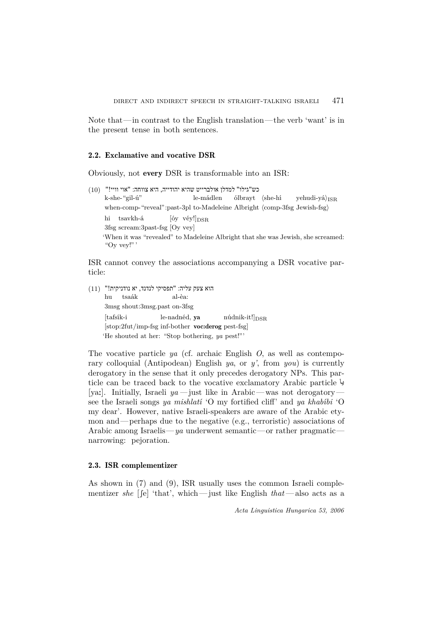Note that—in contrast to the English translation—the verb 'want' is in the present tense in both sentences.

#### 2.2. Exclamative and vocative DSR

Obviously, not every DSR is transformable into an ISR:

כש"גילו" למדלן אולברייט שהיא יהודייה, היא צווחה: "אוי וויי!" (10) (10) k-she-"gil-ú" le-mádlen ólbrayt (she-hí yehudi-yá) $_{\rm ISR}$ when-comp-"reveal":past-3pl to-Madeleine Albright (comp-3fsg Jewish-fsg) hi tsavkh-á  $[6y \text{ v\'ey}!]_{\text{DSR}}$ 3fsg scream:3past-fsg [Oy vey] 'When it was "revealed" to Madeleine Albright that she was Jewish, she screamed: "Oy vey!"'

ISR cannot convey the associations accompanying a DSR vocative particle:

הוא צעק עליה: "תפסיקי לנדנד, יא נודניקית!" (11) (11) hu tsaák al-èa: 3msg shout:3msg.past on-3fsg  $[tafsík-i]$  le-nadnéd, ya núdnik-it! $]_{DSR}$ [stop:2fut/imp-fsg inf-bother voc:derog pest-fsg] 'He shouted at her: "Stop bothering, *ya* pest!"'

The vocative particle *ya* (cf. archaic English *O*, as well as contemporary colloquial (Antipodean) English *ya*, or *y'*, from *you*) is currently derogatory in the sense that it only precedes derogatory NPs. This particle can be traced back to the vocative exclamatory Arabic particle يا [ya:]. Initially, Israeli *ya—*just like in Arabic— was not derogatory see the Israeli songs *ya mishlatí* 'O my fortified cliff' and *ya khabíbi* 'O my dear'. However, native Israeli-speakers are aware of the Arabic etymon and—perhaps due to the negative (e.g., terroristic) associations of Arabic among Israelis—*ya* underwent semantic—or rather pragmatic narrowing: pejoration.

#### 2.3. ISR complementizer

As shown in (7) and (9), ISR usually uses the common Israeli complementizer *she* [[e] 'that', which—just like English  $that$ —also acts as a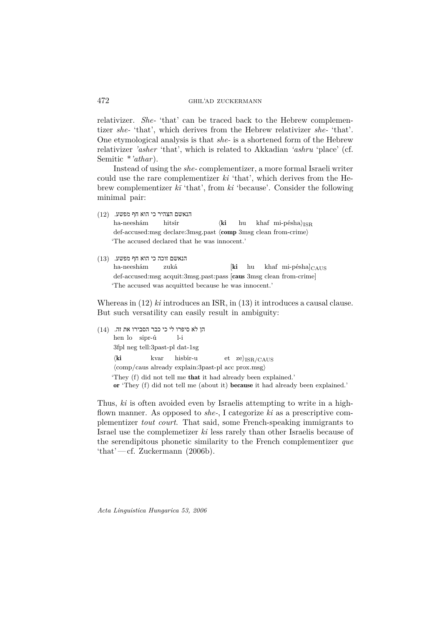relativizer. *She-* 'that' can be traced back to the Hebrew complementizer *she-* 'that', which derives from the Hebrew relativizer *she-* 'that'. One etymological analysis is that *she-* is a shortened form of the Hebrew relativizer *'asher* 'that', which is related to Akkadian *'ashru* 'place' (cf. Semitic \**'athar*).

Instead of using the *she-* complementizer, a more formal Israeli writer could use the rare complementizer *ki* 'that', which derives from the Hebrew complementizer  $k\bar{i}$  'that', from  $ki$  'because'. Consider the following minimal pair:

- הנאשם הצהיר כי הוא חף מפשע. (12) (12) ha-neeshám hitsír  $\langle$ **ki** hu khaf mi-pésha $\rangle$ <sub>ISR</sub> def-accused:msg declare:3msg.past  $\langle$ comp 3msg clean from-crime) 'The accused declared that he was innocent.'
- הנאשם זוכה כי הוא חף מפשע. (13) (13) ha-neeshám zuká  $[ki \text{ hu } khaf \text{ mi-p\'esha}]_{\text{CAIIS}}$ def-accused:msg acquit:3msg.past:pass [caus 3msg clean from-crime] 'The accused was acquitted because he was innocent.'

Whereas in (12) *ki* introduces an ISR, in (13) it introduces a causal clause. But such versatility can easily result in ambiguity:

 ןה לא סיפרו לי כי כבר הסבירו את זה. (14) (14) hen lo sipr-ú l-i 3fpl neg tell:3past-pl dat-1sg  $\langle$ ki kvar hisbír-u et ze $\rangle$ <sub>ISR/CAUS</sub>  $\langle$ comp/caus already explain:3past-pl acc prox.msg $\rangle$ 'They (f) did not tell me that it had already been explained.' or 'They (f) did not tell me (about it) because it had already been explained.'

Thus, *ki* is often avoided even by Israelis attempting to write in a highflown manner. As opposed to *she-*, I categorize *ki* as a prescriptive complementizer *tout court*. That said, some French-speaking immigrants to Israel use the complemetizer *ki* less rarely than other Israelis because of the serendipitous phonetic similarity to the French complementizer *que* 'that'— $cf.$  Zuckermann (2006b).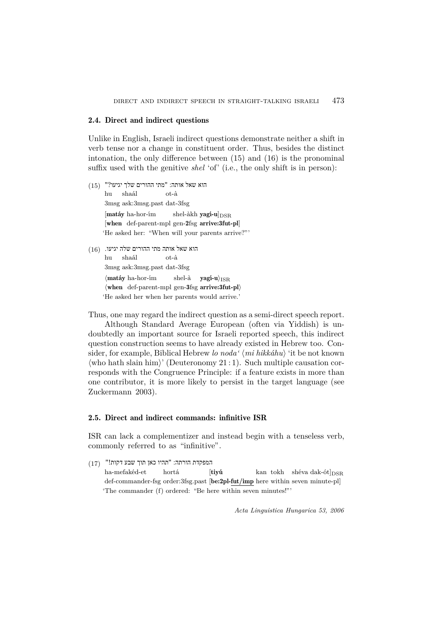#### 2.4. Direct and indirect questions

Unlike in English, Israeli indirect questions demonstrate neither a shift in verb tense nor a change in constituent order. Thus, besides the distinct intonation, the only difference between (15) and (16) is the pronominal suffix used with the genitive *shel* 'of' (i.e., the only shift is in person):

- הוא שאל אותה: "מתי ההורים שלך יגיעו?" (15) ה hu shaál ot-à 3msg ask:3msg.past dat-3fsg  $[\text{matáy ha-hor-ím} \quad \text{shell-akh}\ \text{yagi-u}]_{\text{DSR}}$ [when def-parent-mpl gen-2fsg arrive:3fut-pl] 'He asked her: "When will your parents arrive?"'
- הוא שאל אותה מתי ההורים שלה יגיעו. (16) (16) hu shaál ot-à 3msg ask:3msg.past dat-3fsg  $\langle \textbf{matáy} \textbf{ ha-hor-ím} \rangle$  shel-à yagí-u $\rangle$ <sub>ISR</sub>  $\langle$  when def-parent-mpl gen-3fsg arrive:3fut-pl $\rangle$ 'He asked her when her parents would arrive.'

Thus, one may regard the indirect question as a semi-direct speech report.

Although Standard Average European (often via Yiddish) is undoubtedly an important source for Israeli reported speech, this indirect question construction seems to have already existed in Hebrew too. Consider, for example, Biblical Hebrew *lo noda'*  $\langle mi \, hikkáhu \rangle$  'it be not known  $\langle$  who hath slain him $\rangle'$  (Deuteronomy 21 : 1). Such multiple causation corresponds with the Congruence Principle: if a feature exists in more than one contributor, it is more likely to persist in the target language (see Zuckermann 2003).

## 2.5. Direct and indirect commands: infinitive ISR

ISR can lack a complementizer and instead begin with a tenseless verb, commonly referred to as "infinitive".

המפקדת הורתה: "תהיו כאן תוך שבע דקות!" (17) (17) ha-mefakéd-et hortá  $[tiny\textrm{tiny}$  kan tokh shéva dak-ót $]_{\textrm{DSR}}$ def-commander-fsg order:3fsg.past [be:2pl-fut/imp here within seven minute-pl] 'The commander (f) ordered: "Be here within seven minutes!"'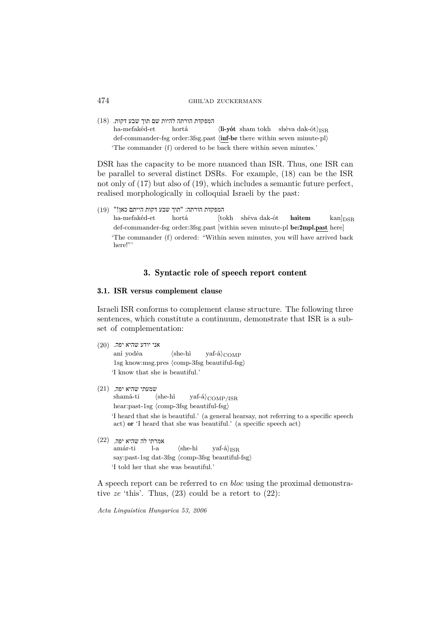המפקדת הורתה להיות שם תוך שבע דקות. (18) (18)

ha-mefakéd-et hortá  $\langle$ **li-yót** sham tokh shéva dak-ót $\rangle$ <sub>ISR</sub> def-commander-fsg order:3fsg.past (inf-be there within seven minute-pl) 'The commander (f) ordered to be back there within seven minutes.'

DSR has the capacity to be more nuanced than ISR. Thus, one ISR can be parallel to several distinct DSRs. For example, (18) can be the ISR not only of (17) but also of (19), which includes a semantic future perfect, realised morphologically in colloquial Israeli by the past:

המפקדת הורתה: "תוך שבע דקות הייתם כאן!" (19) (19) ha-mefakéd-et hortá  $[tokh]$  shéva dak-ót **haítem** kan $|_{\text{DSR}}$ def-commander-fsg order:3fsg.past [within seven minute-pl be:2mpl.past here] 'The commander (f) ordered: "Within seven minutes, you will have arrived back here!"

## 3. Syntactic role of speech report content

## 3.1. ISR versus complement clause

Israeli ISR conforms to complement clause structure. The following three sentences, which constitute a continuum, demonstrate that ISR is a subset of complementation:

אני יודע שהיא יפה. (20) (20) anì yodéa  $\langle she-hi \rangle_{COMP}$  $1$ sg know:msg.pres  $\langle$ comp-3fsg beautiful-fsg $\rangle$ 'I know that she is beautiful.'

 שמעתי שהיא יפה. ((21) shamá-ti  $\langle she-hi \rangle_{COMP/ISR}$ hear:past-1sg  $\langle$  comp-3fsg beautiful-fsg $\rangle$ 'I heard that she is beautiful.' (a general hearsay, not referring to a specific speech act) or 'I heard that she was beautiful.' (a specific speech act)

 $\left( 22\right)$ יפה. לה שהיא amár-ti l-a  $\langle she-hi \rangle_{ISR}$ say:past-1sg dat-3fsg (comp-3fsg beautiful-fsg) 'I told her that she was beautiful.'

A speech report can be referred to *en bloc* using the proximal demonstrative *ze* 'this'. Thus, (23) could be a retort to (22):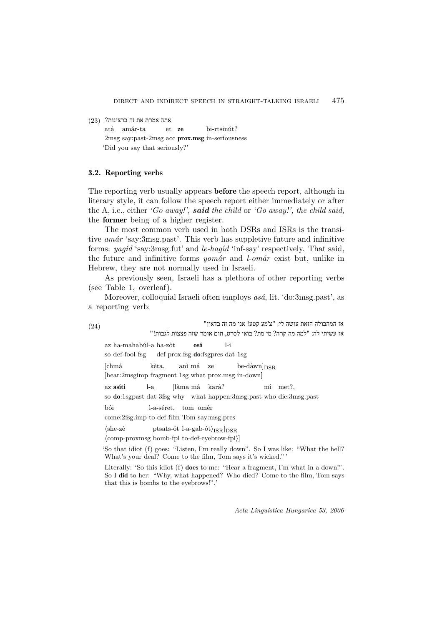אתה אמרת את זה ברצינות? (23) (23)

atá amár-ta et ze bi-rtsinút? 2msg say:past-2msg acc prox.msg in-seriousness 'Did you say that seriously?'

#### 3.2. Reporting verbs

The reporting verb usually appears **before** the speech report, although in literary style, it can follow the speech report either immediately or after the A, i.e., either *'Go away!', said the child* or *'Go away!', the child said*, the former being of a higher register.

The most common verb used in both DSRs and ISRs is the transitive *amár* 'say:3msg.past'. This verb has suppletive future and infinitive forms: *yagíd* 'say:3msg.fut' and *le-hagíd* 'inf-say' respectively. That said, the future and infinitive forms *yomár* and *l-omár* exist but, unlike in Hebrew, they are not normally used in Israeli.

As previously seen, Israeli has a plethora of other reporting verbs (see Table 1, overleaf).

Moreover, colloquial Israeli often employs *asá*, lit. 'do:3msg.past', as a reporting verb:

אז המהבולה הזאת עושה לי: " 'צ מע קטע! אני מה זה בדאון" (24) אז עשיתי לה: "למה מה קרה? מי מת? בואי לסרט, תום אומר שזה פצצות לגבות!" az ha-mahabúl-a ha-zòt osá l-i so def-fool-fsg def-prox.fsg **do**:fsgpres dat-1sg

 $[\text{chmá}$  kèta, anì má ze be-dàwn $]_{\text{DSR}}$ 

[hear:2msgimp fragment 1sg what prox.msg in-down]

az asíti l-a [làma má karà? mí met?,

so do:1sgpast dat-3fsg why what happen:3msg.past who die:3msg.past

bói l-a-séret, tom omér

come:2fsg.imp to-def-film Tom say:msg.pres

 $\langle she-z\acute{e}$  ptsats-ót l-a-gab-ót $\rangle_{ISR}]_{DSR}$ 

 $\langle$ comp-proxmsg bomb-fpl to-def-eyebrow-fpl $\rangle$ ]

'So that idiot (f) goes: "Listen, I'm really down". So I was like: "What the hell? What's your deal? Come to the film, Tom says it's wicked."'

Literally: 'So this idiot (f) does to me: "Hear a fragment, I'm what in a down!". So I did to her: "Why, what happened? Who died? Come to the film, Tom says that this is bombs to the eyebrows!".'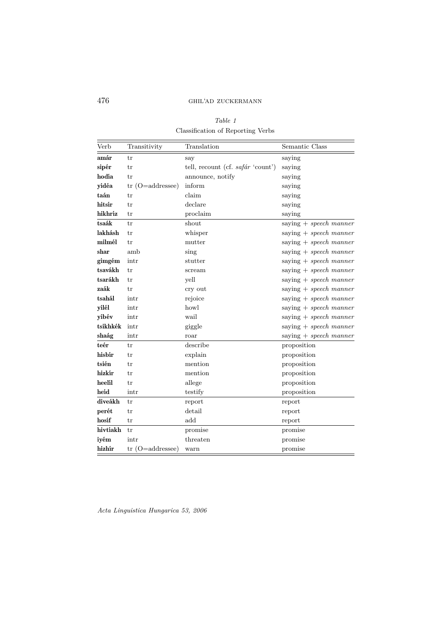*Table 1* Classification of Reporting Verbs

| Verb     | Transitivity          | Translation                       | Semantic Class           |
|----------|-----------------------|-----------------------------------|--------------------------|
| amár     | tr                    | say                               | saying                   |
| sipér    | tr                    | tell, recount (cf. safár 'count') | saying                   |
| hodía    | tr                    | announce, notify                  | saying                   |
| yidéa    | $(O=addressee)$<br>tr | inform                            | saying                   |
| taán     | tr                    | claim                             | saying                   |
| hitsír   | tr                    | declare                           | saying                   |
| hikhríz  | tr                    | proclaim                          | saying                   |
| tsaák    | tr                    | shout                             | saying $+$ speech manner |
| lakhásh  | tr                    | whisper                           | saying $+$ speech manner |
| milmél   | tr                    | mutter                            | saying $+$ speech manner |
| shar     | amb                   | sing                              | saying $+$ speech manner |
| gimgém   | intr                  | stutter                           | saying $+$ speech manner |
| tsavákh  | tr                    | scream                            | saying $+$ speech manner |
| tsarákh  | tr                    | yell                              | saying $+$ speech manner |
| zaák     | tr                    | cry out                           | saying $+$ speech manner |
| tsahál   | intr                  | rejoice                           | saying $+$ speech manner |
| yilél    | intr                  | howl                              | saying $+$ speech manner |
| yibév    | intr                  | wail                              | saying $+$ speech manner |
| tsikhkék | intr                  | giggle                            | saying $+$ speech manner |
| shaág    | intr                  | roar                              | saying $+$ speech manner |
| teér     | tr                    | describe                          | proposition              |
| hisbír   | tr                    | explain                           | proposition              |
| tsién    | tr                    | mention                           | proposition              |
| hizkír   | tr                    | mention                           | proposition              |
| heelil   | tr                    | allege                            | proposition              |
| heid     | intr                  | testify                           | proposition              |
| diveákh  | tr                    | report                            | report                   |
| perét    | tr                    | detail                            | report                   |
| hosif    | tr                    | add                               | report                   |
| hivtíakh | tr                    | promise                           | promise                  |
| iyém     | intr                  | threaten                          | promise                  |
| hizhír   | $tr$ (O=addressee)    | warn                              | promise                  |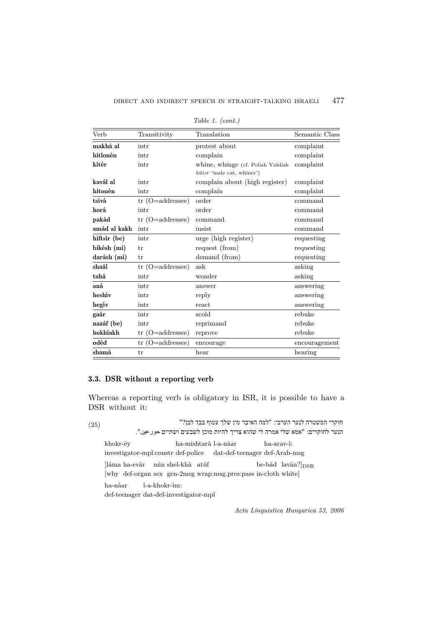| Verb         | Transitivity       | Translation                       | Semantic Class |
|--------------|--------------------|-----------------------------------|----------------|
| makhá al     | intr               | protest about                     | complaint      |
| hitlonén     | intr               | complain                          | complaint      |
| kitér        | intr               | whine, whinge (cf. Polish Yiddish | complaint      |
|              |                    | $kútor$ 'male cat, whiner')       |                |
| kavál al     | intr               | complain about (high register)    | complaint      |
| hitonén      | intr               | complain                          | complaint      |
| tsivá        | $tr$ (O=addressee) | order                             | command        |
| horá         | intr               | order                             | command        |
| pakád        | $tr$ (O=addressee) | command                           | command        |
| amád al kakh | intr               | insist                            | command        |
| hiftsir (be) | intr               | urge (high register)              | requesting     |
| bikésh (mi)  | tr                 | request (from)                    | requesting     |
| darásh (mi)  | tr                 | demand (from)                     | requesting     |
| shaál        | $tr$ (O=addressee) | ask                               | asking         |
| tahá         | intr               | wonder                            | asking         |
| aná          | intr               | answer                            | answering      |
| heshiv       | intr               | reply                             | answering      |
| hegív        | intr               | react                             | answering      |
| gaár         | intr               | scold                             | rebuke         |
| nazáf (be)   | intr               | reprimand                         | rebuke         |
| hokhíakh     | $tr$ (O=addressee) | reprove                           | rebuke         |
| odéd         | $tr$ (O=addressee) | encourage                         | encouragement  |
| shamá        | tr                 | $_{\rm hear}$                     | hearing        |

*Table 1. (cont.)*

# 3.3. DSR without a reporting verb

Whereas a reporting verb is obligatory in ISR, it is possible to have a DSR without it:

חוקרי המשטרה לנער הערבי: "למה האיבר מין שלך עטוף בבד לבן "? (25) (25) הנער לחוקרים: "אמא שלי אמרה לי שהוא צריך להיות מוכן לשבעים ושתיים <פע. khokr-éy ha-mishtará l-a-náar ha-arav-í: investigator-mpl:constr def-police dat-def-teenager def-Arab-msg  $[\mbox{láma ha-evàr}\quad$ mín shel-khà atúf be-bàd laván?]<br> $_{\rm DSR}$ [why def-organ sex gen-2msg wrap:msg.pres:pass in-cloth white] ha-náar l-a-khokr-ím: def-teenager dat-def-investigator-mpl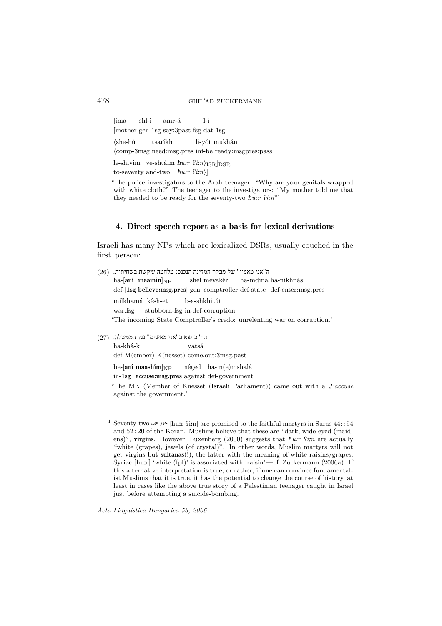478 ghil'ad zuckermann

[íma shl-ì amr-á l-ì [mother gen-1sg say:3past-fsg dat-1sg  $\langle she-hù$  tsaríkh li-yót mukhán hcomp-3msg need:msg.pres inf-be ready:msgpres:pass le-shivím ve-shtáim  $\hbar u{:}\tau$   $\mathrm{f}{i}{:}\n n\rangle_{\mathrm{ISR}}]_{\mathrm{DSR}}$ to-seventy and-two  $\hbar u$ :*r*  $\Omega$ *i:n*)] 'The police investigators to the Arab teenager: "Why are your genitals wrapped with white cloth?" The teenager to the investigators: "My mother told me that they needed to be ready for the seventy-two  $\hbar u$ :*r*  $\Omega$ *i:n*"<sup>1</sup>

## 4. Direct speech report as a basis for lexical derivations

Israeli has many NPs which are lexicalized DSRs, usually couched in the first person:

| (26) | ה"אני מאמין" של מבקר המדינה הנכנס: מלחמה עיקשת בשחיתות.                   |
|------|---------------------------------------------------------------------------|
|      | ha- $[\text{ani} \ \text{maamín}]_{NP}$ shel mevakér ha-mdiná ha-nikhnás: |
|      | def-[1sg believe:msg.pres] gen comptroller def-state def-enter:msg.pres   |
|      | milkhamá ikésh-et b-a-shkhitút                                            |
|      | war:fsg stubborn-fsg in-def-corruption                                    |
|      | The incoming State Comptroller's credo: unrelenting war on corruption.'   |
|      |                                                                           |

הח"כ יצא ב"אני מאשים" נגד הממשלה. (27 ha-khá-k yatsá def-M(ember)-K(nesset) come.out:3msg.past

> be-[aní maashím] $_{\rm NP}$  néged ha-m(e)mshalá in-1sg accuse:msg.pres against def-government

'The MK (Member of Knesset (Israeli Parliament)) came out with a *J'accuse* against the government.'

 $^1$  Seventy-two حورعين [huːr ʕiːn] are promised to the faithful martyrs in Suras  $44$ : : 54 and 52 : 20 of the Koran. Muslims believe that these are "dark, wide-eyed (maidens)", virgins. However, Luxenberg (2000) suggests that  $\hbar u$ :  $\sin$  are actually "white (grapes), jewels (of crystal)". In other words, Muslim martyrs will not get virgins but sultanas(!), the latter with the meaning of white raisins/grapes. Syriac [ħu:r] 'white (fpl)' is associated with 'raisin'—cf. Zuckermann (2006a). If this alternative interpretation is true, or rather, if one can convince fundamentalist Muslims that it is true, it has the potential to change the course of history, at least in cases like the above true story of a Palestinian teenager caught in Israel just before attempting a suicide-bombing.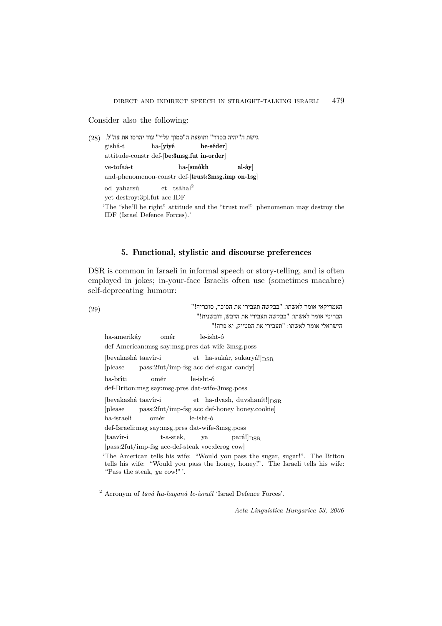Consider also the following:

```
(28)גישת ה"יהיה בסדר" ותופעת ה"סמוך עליי" עוד יהרסו את צה
gishá-t ha-[yiyé be-séder]
attitude-constr def-[be:3msg.fut in-order]
ve-tofaá-t ha-[smókh al-áy]
and-phenomenon-constr def-[trust:2msg.imp on-1sg]
od yaharsú et tsáhal2
yet destroy:3pl.fut acc IDF
'The "she'll be right" attitude and the "trust me!" phenomenon may destroy the
IDF (Israel Defence Forces).'
```
# 5. Functional, stylistic and discourse preferences

DSR is common in Israeli in informal speech or story-telling, and is often employed in jokes; in-your-face Israelis often use (sometimes macabre) self-deprecating humour:

```
האמריקאי אומר לאשתו: "בבקשה תעבירי את הסוכר, סוכריה!" (29)
                            הבריטי אומר לאשתו: "בבקשה תעבירי את הדבש, דובשנית!" 
                                 הישראלי אומר לאשתו: "תעבירי את הסטייק, יא פרה!" 
ha-amerikáy omér le-isht-ó
 def-American:msg say:msg.pres dat-wife-3msg.poss
 [bevakashá taavír-i et ha-sukár, sukaryá!|_{\text{DSR}}[please pass:2fut/imp-fsg acc def-sugar candy]
ha-bríti omér le-isht-ó
def-Briton:msg say:msg.pres dat-wife-3msg.poss
 [bevakashá taavír-i et ha-dvash, duvshanít!|_{\text{DSR}}[please pass:2fut/imp-fsg acc def-honey honey.cookie]
ha-israelí omér le-isht-ó
def-Israeli:msg say:msg.pres dat-wife-3msg.poss
[taavír-i t-a-stek, ya pará!]_{DSR}[pass:2fut/imp-fsg acc-def-steak voc:derog cow]
'The American tells his wife: "Would you pass the sugar, sugar!". The Briton
tells his wife: "Would you pass the honey, honey!". The Israeli tells his wife:
 "Pass the steak, ya cow!"'.
```
<sup>2</sup> Acronym of *tsvá ha-haganá le-israél* 'Israel Defence Forces'.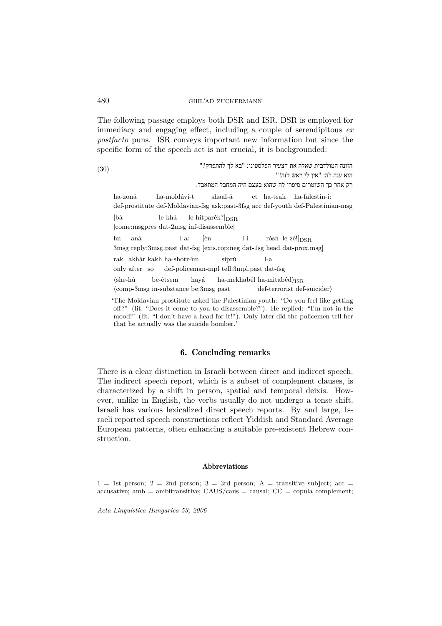The following passage employs both DSR and ISR. DSR is employed for immediacy and engaging effect, including a couple of serendipitous *ex postfacto* puns. ISR conveys important new information but since the specific form of the speech act is not crucial, it is backgrounded:

: "בא לך להתפרק "? הזונה המולדבית שאלה את הצעיר הפלסטיני (30) הוא ענה לה: "אין לי ראש לזה!" רק אחר כך השוטרים סיפרו לה שהוא בעצם היה המחבל המתאבד. ha-zoná ha-moldávi-t shaal-á et ha-tsaír ha-falestín-i: def-prostitute def-Moldavian-fsg ask:past-3fsg acc def-youth def-Palestinian-msg  $[b4 \quad \text{le-khà} \quad \text{le-hitpar\'ek?}\vert_{\text{DSR}}]$ [come:msgpres dat-2msg inf-disassemble] hu aná l-a: [én l-i rósh le-zè!] $_{\rm DSR}$ 3msg reply:3msg.past dat-fsg [exis.cop:neg dat-1sg head dat-prox.msg] rak akhár kakh ha-shotr-ím siprú l-a only after so def-policeman-mpl tell:3mpl.past dat-fsg  $\langle she-hù$  be-étsem hayá ha-mekhabél ha-mitabéd $\rangle_{ISR}$ (comp-3msg in-substance be:3msg past def-terrorist def-suicider) 'The Moldavian prostitute asked the Palestinian youth: "Do you feel like getting off?" (lit. "Does it come to you to disassemble?"). He replied: "I'm not in the mood!" (lit. "I don't have a head for it!"). Only later did the policemen tell her that he actually was the suicide bomber.'

# 6. Concluding remarks

There is a clear distinction in Israeli between direct and indirect speech. The indirect speech report, which is a subset of complement clauses, is characterized by a shift in person, spatial and temporal deixis. However, unlike in English, the verbs usually do not undergo a tense shift. Israeli has various lexicalized direct speech reports. By and large, Israeli reported speech constructions reflect Yiddish and Standard Average European patterns, often enhancing a suitable pre-existent Hebrew construction.

#### Abbreviations

 $1 = 1$ st person;  $2 = 2$ nd person;  $3 = 3$ rd person; A = transitive subject; acc =  $accusative;$  ambitransitive;  $CAUS/caus = causal;$   $CC = copula complement;$